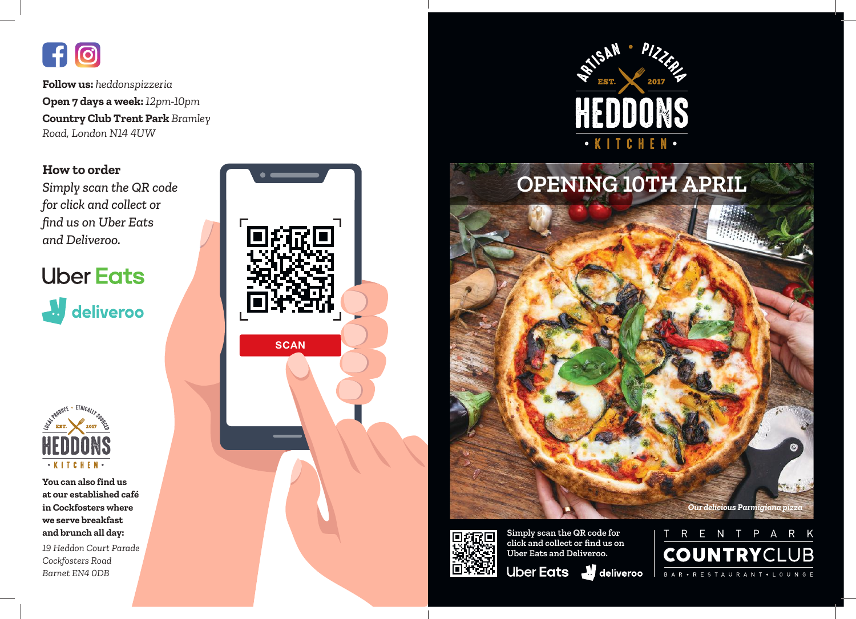# $f$  $\odot$

**Follow us:** *heddonspizzeria* **Open 7 days a week:** *12pm-10pm* **Country Club Trent Park** *Bramley Road, London N14 4UW*

# **How to order**

*Simply scan the QR code for click and collect or find us on Uber Eats and Deliveroo.*

# **Uber Eats**

deliveroo



**You can also find us at our established café in Cockfosters where we serve breakfast and brunch all day:**

*19 Heddon Court Parade Cockfosters Road Barnet EN4 0DB*









**Simply scan the QR code for click and collect or find us on Uber Eats and Deliveroo.**

Uber Eats Juliveroo